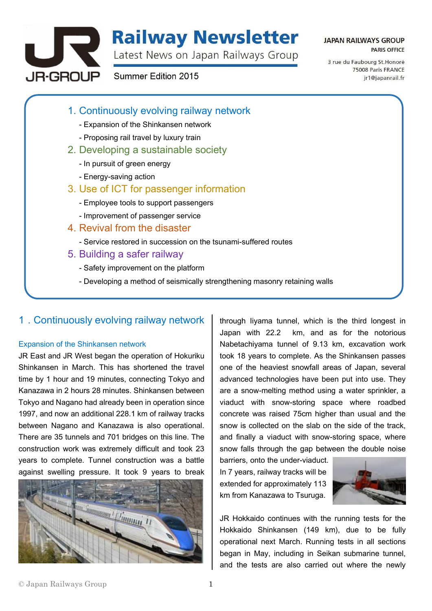

# **Railway Newsletter**

Latest News on Japan Railways Group

## **JAPAN RAILWAYS GROUP PARIS OFFICE**

Summer Edition 2015

3 rue du Faubourg St. Honoré 75008 Paris FRANCE ir1@iapanrail.fr

- 1. Continuously evolving railway network
	- Expansion of the Shinkansen network
	- Proposing rail travel by luxury train
- 2. Developing a sustainable society
	- In pursuit of green energy
	- Energy-saving action
- 3. Use of ICT for passenger information
	- Employee tools to support passengers
	- Improvement of passenger service
- 4. Revival from the disaster
	- Service restored in succession on the tsunami-suffered routes
- 5. Building a safer railway
	- Safety improvement on the platform
	- Developing a method of seismically strengthening masonry retaining walls

# 1.Continuously evolving railway network

## Expansion of the Shinkansen network

JR East and JR West began the operation of Hokuriku Shinkansen in March. This has shortened the travel time by 1 hour and 19 minutes, connecting Tokyo and Kanazawa in 2 hours 28 minutes. Shinkansen between Tokyo and Nagano had already been in operation since 1997, and now an additional 228.1 km of railway tracks between Nagano and Kanazawa is also operational. There are 35 tunnels and 701 bridges on this line. The construction work was extremely difficult and took 23 years to complete. Tunnel construction was a battle against swelling pressure. It took 9 years to break



through Iiyama tunnel, which is the third longest in Japan with 22.2 km, and as for the notorious Nabetachiyama tunnel of 9.13 km, excavation work took 18 years to complete. As the Shinkansen passes one of the heaviest snowfall areas of Japan, several advanced technologies have been put into use. They are a snow-melting method using a water sprinkler, a viaduct with snow-storing space where roadbed concrete was raised 75cm higher than usual and the snow is collected on the slab on the side of the track, and finally a viaduct with snow-storing space, where snow falls through the gap between the double noise

barriers, onto the under-viaduct. In 7 years, railway tracks will be extended for approximately 113 km from Kanazawa to Tsuruga.



JR Hokkaido continues with the running tests for the Hokkaido Shinkansen (149 km), due to be fully operational next March. Running tests in all sections began in May, including in Seikan submarine tunnel, and the tests are also carried out where the newly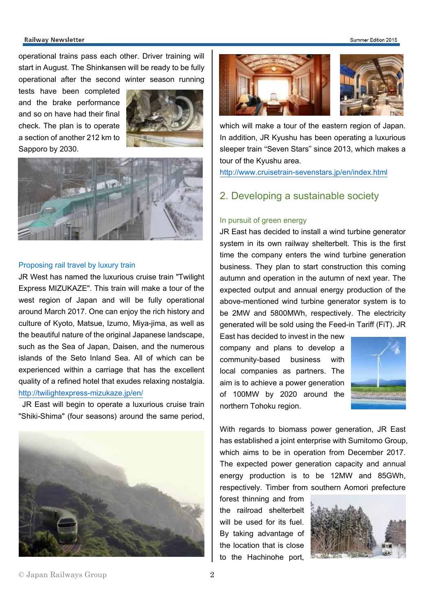#### Summer Edition 2015

#### **Railway Newsletter**

operational trains pass each other. Driver training will start in August. The Shinkansen will be ready to be fully operational after the second winter season running

tests have been completed and the brake performance and so on have had their final check. The plan is to operate a section of another 212 km to Sapporo by 2030.





#### Proposing rail travel by luxury train

JR West has named the luxurious cruise train "Twilight Express MIZUKAZE". This train will make a tour of the west region of Japan and will be fully operational around March 2017. One can enjoy the rich history and culture of Kyoto, Matsue, Izumo, Miya-jima, as well as the beautiful nature of the original Japanese landscape, such as the Sea of Japan, Daisen, and the numerous islands of the Seto Inland Sea. All of which can be experienced within a carriage that has the excellent quality of a refined hotel that exudes relaxing nostalgia. <http://twilightexpress-mizukaze.jp/en/>

JR East will begin to operate a luxurious cruise train "Shiki-Shima" (four seasons) around the same period,





which will make a tour of the eastern region of Japan. In addition, JR Kyushu has been operating a luxurious sleeper train "Seven Stars" since 2013, which makes a tour of the Kyushu area.

<http://www.cruisetrain-sevenstars.jp/en/index.html>

# 2. Developing a sustainable society

## In pursuit of green energy

JR East has decided to install a wind turbine generator system in its own railway shelterbelt. This is the first time the company enters the wind turbine generation business. They plan to start construction this coming autumn and operation in the autumn of next year. The expected output and annual energy production of the above-mentioned wind turbine generator system is to be 2MW and 5800MWh, respectively. The electricity generated will be sold using the Feed-in Tariff (FiT). JR

East has decided to invest in the new company and plans to develop a community-based business with local companies as partners. The aim is to achieve a power generation of 100MW by 2020 around the northern Tohoku region.



With regards to biomass power generation, JR East has established a joint enterprise with Sumitomo Group, which aims to be in operation from December 2017. The expected power generation capacity and annual energy production is to be 12MW and 85GWh, respectively. Timber from southern Aomori prefecture

forest thinning and from the railroad shelterbelt will be used for its fuel. By taking advantage of the location that is close to the Hachinohe port,



### © Japan Railways Group 2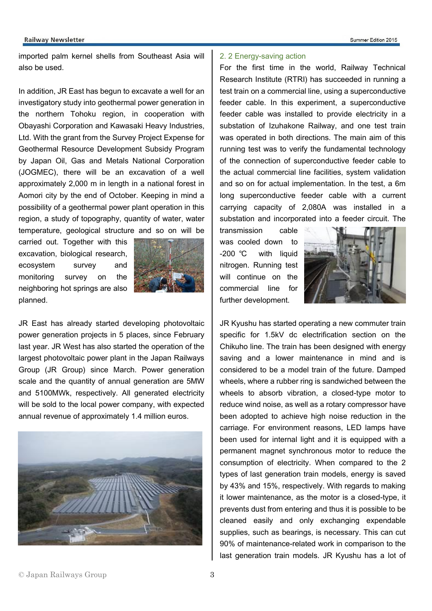#### **Railway Newsletter**

imported palm kernel shells from Southeast Asia will also be used.

In addition, JR East has begun to excavate a well for an investigatory study into geothermal power generation in the northern Tohoku region, in cooperation with Obayashi Corporation and Kawasaki Heavy Industries, Ltd. With the grant from the Survey Project Expense for Geothermal Resource Development Subsidy Program by Japan Oil, Gas and Metals National Corporation (JOGMEC), there will be an excavation of a well approximately 2,000 m in length in a national forest in Aomori city by the end of October. Keeping in mind a possibility of a geothermal power plant operation in this region, a study of topography, quantity of water, water temperature, geological structure and so on will be

carried out. Together with this excavation, biological research, ecosystem survey and monitoring survey on the neighboring hot springs are also planned.



JR East has already started developing photovoltaic power generation projects in 5 places, since February last year. JR West has also started the operation of the largest photovoltaic power plant in the Japan Railways Group (JR Group) since March. Power generation scale and the quantity of annual generation are 5MW and 5100MWk, respectively. All generated electricity will be sold to the local power company, with expected annual revenue of approximately 1.4 million euros.



## 2. 2 Energy-saving action

For the first time in the world, Railway Technical Research Institute (RTRI) has succeeded in running a test train on a commercial line, using a superconductive feeder cable. In this experiment, a superconductive feeder cable was installed to provide electricity in a substation of Izuhakone Railway, and one test train was operated in both directions. The main aim of this running test was to verify the fundamental technology of the connection of superconductive feeder cable to the actual commercial line facilities, system validation and so on for actual implementation. In the test, a 6m long superconductive feeder cable with a current carrying capacity of 2,080A was installed in a substation and incorporated into a feeder circuit. The

transmission cable was cooled down to -200 ℃ with liquid nitrogen. Running test will continue on the commercial line for further development.



JR Kyushu has started operating a new commuter train specific for 1.5kV dc electrification section on the Chikuho line. The train has been designed with energy saving and a lower maintenance in mind and is considered to be a model train of the future. Damped wheels, where a rubber ring is sandwiched between the wheels to absorb vibration, a closed-type motor to reduce wind noise, as well as a rotary compressor have been adopted to achieve high noise reduction in the carriage. For environment reasons, LED lamps have been used for internal light and it is equipped with a permanent magnet synchronous motor to reduce the consumption of electricity. When compared to the 2 types of last generation train models, energy is saved by 43% and 15%, respectively. With regards to making it lower maintenance, as the motor is a closed-type, it prevents dust from entering and thus it is possible to be cleaned easily and only exchanging expendable supplies, such as bearings, is necessary. This can cut 90% of maintenance-related work in comparison to the last generation train models. JR Kyushu has a lot of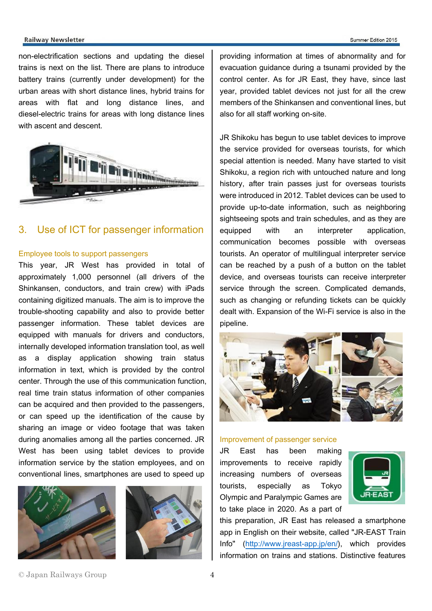#### Summer Edition 2015

#### **Railway Newsletter**

non-electrification sections and updating the diesel trains is next on the list. There are plans to introduce battery trains (currently under development) for the urban areas with short distance lines, hybrid trains for areas with flat and long distance lines, and diesel-electric trains for areas with long distance lines with ascent and descent.



# 3. Use of ICT for passenger information

#### Employee tools to support passengers

This year, JR West has provided in total of approximately 1,000 personnel (all drivers of the Shinkansen, conductors, and train crew) with iPads containing digitized manuals. The aim is to improve the trouble-shooting capability and also to provide better passenger information. These tablet devices are equipped with manuals for drivers and conductors, internally developed information translation tool, as well as a display application showing train status information in text, which is provided by the control center. Through the use of this communication function, real time train status information of other companies can be acquired and then provided to the passengers, or can speed up the identification of the cause by sharing an image or video footage that was taken during anomalies among all the parties concerned. JR West has been using tablet devices to provide information service by the station employees, and on conventional lines, smartphones are used to speed up





providing information at times of abnormality and for evacuation guidance during a tsunami provided by the control center. As for JR East, they have, since last year, provided tablet devices not just for all the crew members of the Shinkansen and conventional lines, but also for all staff working on-site.

JR Shikoku has begun to use tablet devices to improve the service provided for overseas tourists, for which special attention is needed. Many have started to visit Shikoku, a region rich with untouched nature and long history, after train passes just for overseas tourists were introduced in 2012. Tablet devices can be used to provide up-to-date information, such as neighboring sightseeing spots and train schedules, and as they are equipped with an interpreter application, communication becomes possible with overseas tourists. An operator of multilingual interpreter service can be reached by a push of a button on the tablet device, and overseas tourists can receive interpreter service through the screen. Complicated demands, such as changing or refunding tickets can be quickly dealt with. Expansion of the Wi-Fi service is also in the pipeline.



#### Improvement of passenger service

JR East has been making improvements to receive rapidly increasing numbers of overseas tourists, especially as Tokyo Olympic and Paralympic Games are to take place in 2020. As a part of



this preparation, JR East has released a smartphone app in English on their website, called "JR-EAST Train Info" [\(http://www.jreast-app.jp/en/\)](http://www.jreast-app.jp/en/), which provides information on trains and stations. Distinctive features

## © Japan Railways Group 4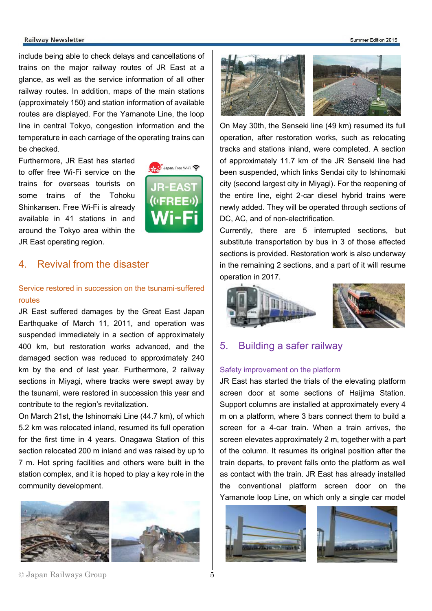#### **Railway Newsletter**

include being able to check delays and cancellations of trains on the major railway routes of JR East at a glance, as well as the service information of all other railway routes. In addition, maps of the main stations (approximately 150) and station information of available routes are displayed. For the Yamanote Line, the loop line in central Tokyo, congestion information and the temperature in each carriage of the operating trains can be checked.

Furthermore, JR East has started to offer free Wi-Fi service on the trains for overseas tourists on some trains of the Tohoku Shinkansen. Free Wi-Fi is already available in 41 stations in and around the Tokyo area within the JR East operating region.



## 4. Revival from the disaster

## Service restored in succession on the tsunami-suffered routes

JR East suffered damages by the Great East Japan Earthquake of March 11, 2011, and operation was suspended immediately in a section of approximately 400 km, but restoration works advanced, and the damaged section was reduced to approximately 240 km by the end of last year. Furthermore, 2 railway sections in Miyagi, where tracks were swept away by the tsunami, were restored in succession this year and contribute to the region's revitalization.

On March 21st, the Ishinomaki Line (44.7 km), of which 5.2 km was relocated inland, resumed its full operation for the first time in 4 years. Onagawa Station of this section relocated 200 m inland and was raised by up to 7 m. Hot spring facilities and others were built in the station complex, and it is hoped to play a key role in the community development.



#### Summer Edition 2015



On May 30th, the Senseki line (49 km) resumed its full operation, after restoration works, such as relocating tracks and stations inland, were completed. A section of approximately 11.7 km of the JR Senseki line had been suspended, which links Sendai city to Ishinomaki city (second largest city in Miyagi). For the reopening of the entire line, eight 2-car diesel hybrid trains were newly added. They will be operated through sections of DC, AC, and of non-electrification.

Currently, there are 5 interrupted sections, but substitute transportation by bus in 3 of those affected sections is provided. Restoration work is also underway in the remaining 2 sections, and a part of it will resume operation in 2017.



## 5. Building a safer railway

#### Safety improvement on the platform

JR East has started the trials of the elevating platform screen door at some sections of Haijima Station. Support columns are installed at approximately every 4 m on a platform, where 3 bars connect them to build a screen for a 4-car train. When a train arrives, the screen elevates approximately 2 m, together with a part of the column. It resumes its original position after the train departs, to prevent falls onto the platform as well as contact with the train. JR East has already installed the conventional platform screen door on the Yamanote loop Line, on which only a single car model



© Japan Railways Group 5